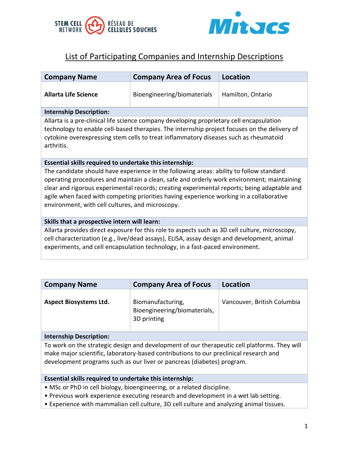



# List of Participating Companies and Internship Descriptions

| <b>Company Name</b>                                                                                                                                                                                                                                                                                                                                                                                                                | <b>Company Area of Focus</b> | <b>Location</b>   |
|------------------------------------------------------------------------------------------------------------------------------------------------------------------------------------------------------------------------------------------------------------------------------------------------------------------------------------------------------------------------------------------------------------------------------------|------------------------------|-------------------|
| <b>Allarta Life Science</b>                                                                                                                                                                                                                                                                                                                                                                                                        | Bioengineering/biomaterials  | Hamilton, Ontario |
| <b>Internship Description:</b>                                                                                                                                                                                                                                                                                                                                                                                                     |                              |                   |
| Allarta is a pre-clinical life science company developing proprietary cell encapsulation<br>technology to enable cell-based therapies. The internship project focuses on the delivery of<br>cytokine overexpressing stem cells to treat inflammatory diseases such as rheumatoid<br>arthritis.                                                                                                                                     |                              |                   |
| Essential skills required to undertake this internship:                                                                                                                                                                                                                                                                                                                                                                            |                              |                   |
| The candidate should have experience in the following areas: ability to follow standard<br>operating procedures and maintain a clean, safe and orderly work environment; maintaining<br>clear and rigorous experimental records; creating experimental reports; being adaptable and<br>agile when faced with competing priorities having experience working in a collaborative<br>environment, with cell cultures, and microscopy. |                              |                   |
| Skills that a prospective intern will learn:                                                                                                                                                                                                                                                                                                                                                                                       |                              |                   |
| Allarta provides direct exposure for this role to aspects such as 3D cell culture, microscopy,<br>cell characterization (e.g., live/dead assays), ELISA, assay design and development, animal<br>experiments, and cell encapsulation technology, in a fast-paced environment.                                                                                                                                                      |                              |                   |

| <b>Company Name</b>           | <b>Company Area of Focus</b>                                     | Location                    |
|-------------------------------|------------------------------------------------------------------|-----------------------------|
| <b>Aspect Biosystems Ltd.</b> | Biomanufacturing,<br>Bioengineering/biomaterials,<br>3D printing | Vancouver, British Columbia |

### **Internship Description:**

To work on the strategic design and development of our therapeutic cell platforms. They will make major scientific, laboratory-based contributions to our preclinical research and development programs such as our liver or pancreas (diabetes) program.

### **Essential skills required to undertake this internship:**

- MSc or PhD in cell biology, bioengineering, or a related discipline.
- Previous work experience executing research and development in a wet lab setting.
- Experience with mammalian cell culture, 3D cell culture and analyzing animal tissues.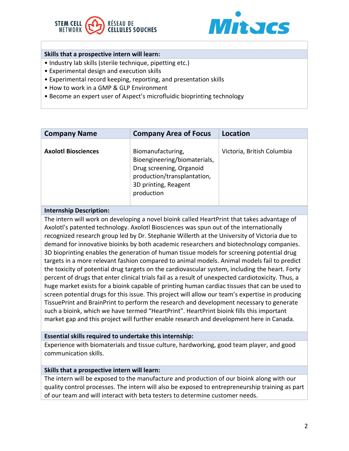



## **Skills that a prospective intern will learn:**

- Industry lab skills (sterile technique, pipetting etc.)
- Experimental design and execution skills
- Experimental record keeping, reporting, and presentation skills
- How to work in a GMP & GLP Environment
- Become an expert user of Aspect's microfluidic bioprinting technology

| <b>Company Name</b>        | <b>Company Area of Focus</b>                                                                                                                       | Location                   |
|----------------------------|----------------------------------------------------------------------------------------------------------------------------------------------------|----------------------------|
| <b>Axolotl Biosciences</b> | Biomanufacturing,<br>Bioengineering/biomaterials,<br>Drug screening, Organoid<br>production/transplantation,<br>3D printing, Reagent<br>production | Victoria, British Columbia |

#### **Internship Description:**

The intern will work on developing a novel bioink called HeartPrint that takes advantage of Axolotl's patented technology. Axolotl Biosciences was spun out of the internationally recognized research group led by Dr. Stephanie Willerth at the University of Victoria due to demand for innovative bioinks by both academic researchers and biotechnology companies. 3D bioprinting enables the generation of human tissue models for screening potential drug targets in a more relevant fashion compared to animal models. Animal models fail to predict the toxicity of potential drug targets on the cardiovascular system, including the heart. Forty percent of drugs that enter clinical trials fail as a result of unexpected cardiotoxicity. Thus, a huge market exists for a bioink capable of printing human cardiac tissues that can be used to screen potential drugs for this issue. This project will allow our team's expertise in producing TissuePrint and BrainPrint to perform the research and development necessary to generate such a bioink, which we have termed "HeartPrint". HeartPrint bioink fills this important market gap and this project will further enable research and development here in Canada.

#### **Essential skills required to undertake this internship:**

Experience with biomaterials and tissue culture, hardworking, good team player, and good communication skills.

#### **Skills that a prospective intern will learn:**

The intern will be exposed to the manufacture and production of our bioink along with our quality control processes. The intern will also be exposed to entrepreneurship training as part of our team and will interact with beta testers to determine customer needs.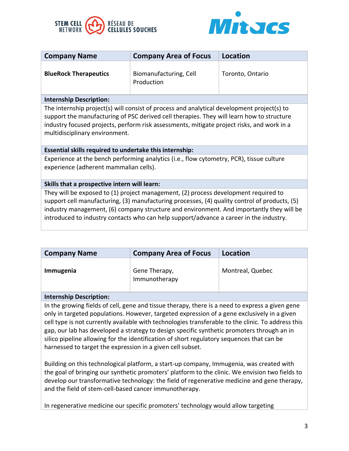



| <b>Company Name</b>                                                                                                                                                                                                                                                                                                                                                        | <b>Company Area of Focus</b>         | <b>Location</b>  |
|----------------------------------------------------------------------------------------------------------------------------------------------------------------------------------------------------------------------------------------------------------------------------------------------------------------------------------------------------------------------------|--------------------------------------|------------------|
| <b>BlueRock Therapeutics</b>                                                                                                                                                                                                                                                                                                                                               | Biomanufacturing, Cell<br>Production | Toronto, Ontario |
| <b>Internship Description:</b>                                                                                                                                                                                                                                                                                                                                             |                                      |                  |
| The internship project(s) will consist of process and analytical development project(s) to<br>support the manufacturing of PSC derived cell therapies. They will learn how to structure<br>industry focused projects, perform risk assessments, mitigate project risks, and work in a<br>multidisciplinary environment.                                                    |                                      |                  |
| Essential skills required to undertake this internship:                                                                                                                                                                                                                                                                                                                    |                                      |                  |
| Experience at the bench performing analytics (i.e., flow cytometry, PCR), tissue culture<br>experience (adherent mammalian cells).                                                                                                                                                                                                                                         |                                      |                  |
| Skills that a prospective intern will learn:                                                                                                                                                                                                                                                                                                                               |                                      |                  |
| They will be exposed to (1) project management, (2) process development required to<br>support cell manufacturing, (3) manufacturing processes, (4) quality control of products, (5)<br>industry management, (6) company structure and environment. And importantly they will be<br>introduced to industry contacts who can help support/advance a career in the industry. |                                      |                  |

| <b>Company Name</b> | <b>Company Area of Focus</b>   | Location         |
|---------------------|--------------------------------|------------------|
| Immugenia           | Gene Therapy,<br>Immunotherapy | Montreal, Quebec |

### **Internship Description:**

In the growing fields of cell, gene and tissue therapy, there is a need to express a given gene only in targeted populations. However, targeted expression of a gene exclusively in a given cell type is not currently available with technologies transferable to the clinic. To address this gap, our lab has developed a strategy to design specific synthetic promoters through an in silico pipeline allowing for the identification of short regulatory sequences that can be harnessed to target the expression in a given cell subset.

Building on this technological platform, a start-up company, Immugenia, was created with the goal of bringing our synthetic promoters' platform to the clinic. We envision two fields to develop our transformative technology: the field of regenerative medicine and gene therapy, and the field of stem-cell-based cancer immunotherapy.

In regenerative medicine our specific promoters' technology would allow targeting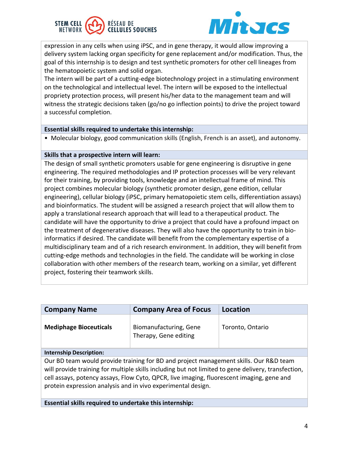



expression in any cells when using iPSC, and in gene therapy, it would allow improving a delivery system lacking organ specificity for gene replacement and/or modification. Thus, the goal of this internship is to design and test synthetic promoters for other cell lineages from the hematopoietic system and solid organ.

The intern will be part of a cutting-edge biotechnology project in a stimulating environment on the technological and intellectual level. The intern will be exposed to the intellectual propriety protection process, will present his/her data to the management team and will witness the strategic decisions taken (go/no go inflection points) to drive the project toward a successful completion.

### **Essential skills required to undertake this internship:**

• Molecular biology, good communication skills (English, French is an asset), and autonomy.

#### **Skills that a prospective intern will learn:**

The design of small synthetic promoters usable for gene engineering is disruptive in gene engineering. The required methodologies and IP protection processes will be very relevant for their training, by providing tools, knowledge and an intellectual frame of mind. This project combines molecular biology (synthetic promoter design, gene edition, cellular engineering), cellular biology (iPSC, primary hematopoietic stem cells, differentiation assays) and bioinformatics. The student will be assigned a research project that will allow them to apply a translational research approach that will lead to a therapeutical product. The candidate will have the opportunity to drive a project that could have a profound impact on the treatment of degenerative diseases. They will also have the opportunity to train in bioinformatics if desired. The candidate will benefit from the complementary expertise of a multidisciplinary team and of a rich research environment. In addition, they will benefit from cutting-edge methods and technologies in the field. The candidate will be working in close collaboration with other members of the research team, working on a similar, yet different project, fostering their teamwork skills.

| <b>Company Name</b>           | <b>Company Area of Focus</b>                    | Location         |
|-------------------------------|-------------------------------------------------|------------------|
| <b>Mediphage Bioceuticals</b> | Biomanufacturing, Gene<br>Therapy, Gene editing | Toronto, Ontario |

#### **Internship Description:**

Our BD team would provide training for BD and project management skills. Our R&D team will provide training for multiple skills including but not limited to gene delivery, transfection, cell assays, potency assays, Flow Cyto, QPCR, live imaging, fluorescent imaging, gene and protein expression analysis and in vivo experimental design.

**Essential skills required to undertake this internship:**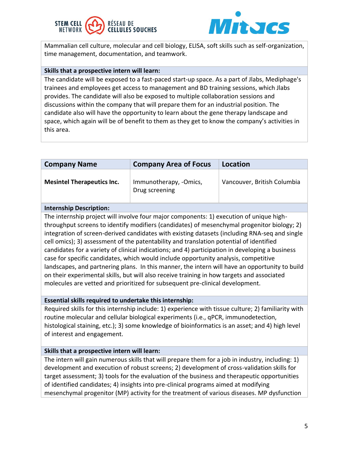#### **STEM CELL** RÉSEAU DE **CELLULES SOUCHES** NETWORK



Mammalian cell culture, molecular and cell biology, ELISA, soft skills such as self-organization, time management, documentation, and teamwork.

# **Skills that a prospective intern will learn:**

The candidate will be exposed to a fast-paced start-up space. As a part of Jlabs, Mediphage's trainees and employees get access to management and BD training sessions, which Jlabs provides. The candidate will also be exposed to multiple collaboration sessions and discussions within the company that will prepare them for an industrial position. The candidate also will have the opportunity to learn about the gene therapy landscape and space, which again will be of benefit to them as they get to know the company's activities in this area.

| <b>Company Name</b>               | <b>Company Area of Focus</b>             | Location                    |
|-----------------------------------|------------------------------------------|-----------------------------|
| <b>Mesintel Therapeutics Inc.</b> | Immunotherapy, -Omics,<br>Drug screening | Vancouver, British Columbia |

# **Internship Description:**

The internship project will involve four major components: 1) execution of unique highthroughput screens to identify modifiers (candidates) of mesenchymal progenitor biology; 2) integration of screen-derived candidates with existing datasets (including RNA-seq and single cell omics); 3) assessment of the patentability and translation potential of identified candidates for a variety of clinical indications; and 4) participation in developing a business case for specific candidates, which would include opportunity analysis, competitive landscapes, and partnering plans. In this manner, the intern will have an opportunity to build on their experimental skills, but will also receive training in how targets and associated molecules are vetted and prioritized for subsequent pre-clinical development.

# **Essential skills required to undertake this internship:**

Required skills for this internship include: 1) experience with tissue culture; 2) familiarity with routine molecular and cellular biological experiments (i.e., qPCR, immunodetection, histological staining, etc.); 3) some knowledge of bioinformatics is an asset; and 4) high level of interest and engagement.

# **Skills that a prospective intern will learn:**

The intern will gain numerous skills that will prepare them for a job in industry, including: 1) development and execution of robust screens; 2) development of cross-validation skills for target assessment; 3) tools for the evaluation of the business and therapeutic opportunities of identified candidates; 4) insights into pre-clinical programs aimed at modifying mesenchymal progenitor (MP) activity for the treatment of various diseases. MP dysfunction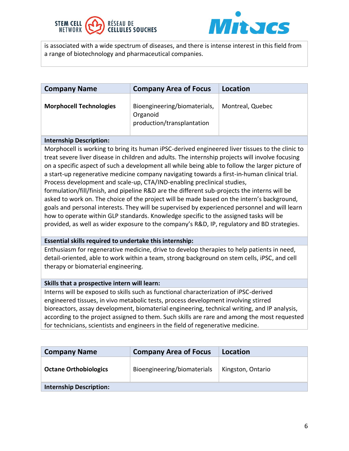



is associated with a wide spectrum of diseases, and there is intense interest in this field from a range of biotechnology and pharmaceutical companies.

| <b>Company Name</b>            | <b>Company Area of Focus</b>                                           | Location         |
|--------------------------------|------------------------------------------------------------------------|------------------|
| <b>Morphocell Technologies</b> | Bioengineering/biomaterials,<br>Organoid<br>production/transplantation | Montreal, Quebec |

#### **Internship Description:**

Morphocell is working to bring its human iPSC-derived engineered liver tissues to the clinic to treat severe liver disease in children and adults. The internship projects will involve focusing on a specific aspect of such a development all while being able to follow the larger picture of a start-up regenerative medicine company navigating towards a first-in-human clinical trial. Process development and scale-up, CTA/IND-enabling preclinical studies,

formulation/fill/finish, and pipeline R&D are the different sub-projects the interns will be asked to work on. The choice of the project will be made based on the intern's background, goals and personal interests. They will be supervised by experienced personnel and will learn how to operate within GLP standards. Knowledge specific to the assigned tasks will be provided, as well as wider exposure to the company's R&D, IP, regulatory and BD strategies.

#### **Essential skills required to undertake this internship:**

Enthusiasm for regenerative medicine, drive to develop therapies to help patients in need, detail-oriented, able to work within a team, strong background on stem cells, iPSC, and cell therapy or biomaterial engineering.

#### **Skills that a prospective intern will learn:**

Interns will be exposed to skills such as functional characterization of iPSC-derived engineered tissues, in vivo metabolic tests, process development involving stirred bioreactors, assay development, biomaterial engineering, technical writing, and IP analysis, according to the project assigned to them. Such skills are rare and among the most requested for technicians, scientists and engineers in the field of regenerative medicine.

| <b>Company Name</b>            | <b>Company Area of Focus</b> | Location          |
|--------------------------------|------------------------------|-------------------|
| <b>Octane Orthobiologics</b>   | Bioengineering/biomaterials  | Kingston, Ontario |
| <b>Internship Description:</b> |                              |                   |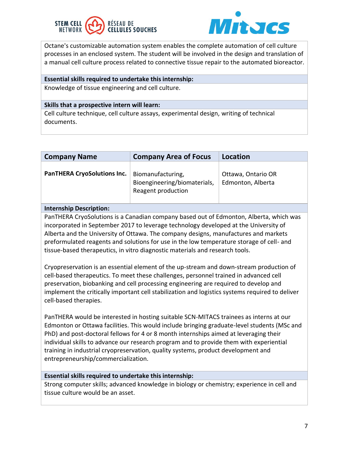



Octane's customizable automation system enables the complete automation of cell culture processes in an enclosed system. The student will be involved in the design and translation of a manual cell culture process related to connective tissue repair to the automated bioreactor.

#### **Essential skills required to undertake this internship:**

Knowledge of tissue engineering and cell culture.

#### **Skills that a prospective intern will learn:**

Cell culture technique, cell culture assays, experimental design, writing of technical documents.

| <b>Company Name</b>                | <b>Company Area of Focus</b>                                            | Location                                |
|------------------------------------|-------------------------------------------------------------------------|-----------------------------------------|
| <b>PanTHERA CryoSolutions Inc.</b> | Biomanufacturing,<br>Bioengineering/biomaterials,<br>Reagent production | Ottawa, Ontario OR<br>Edmonton, Alberta |

### **Internship Description:**

PanTHERA CryoSolutions is a Canadian company based out of Edmonton, Alberta, which was incorporated in September 2017 to leverage technology developed at the University of Alberta and the University of Ottawa. The company designs, manufactures and markets preformulated reagents and solutions for use in the low temperature storage of cell- and tissue-based therapeutics, in vitro diagnostic materials and research tools.

Cryopreservation is an essential element of the up-stream and down-stream production of cell-based therapeutics. To meet these challenges, personnel trained in advanced cell preservation, biobanking and cell processing engineering are required to develop and implement the critically important cell stabilization and logistics systems required to deliver cell-based therapies.

PanTHERA would be interested in hosting suitable SCN-MITACS trainees as interns at our Edmonton or Ottawa facilities. This would include bringing graduate-level students (MSc and PhD) and post-doctoral fellows for 4 or 8 month internships aimed at leveraging their individual skills to advance our research program and to provide them with experiential training in industrial cryopreservation, quality systems, product development and entrepreneurship/commercialization.

### **Essential skills required to undertake this internship:**

Strong computer skills; advanced knowledge in biology or chemistry; experience in cell and tissue culture would be an asset.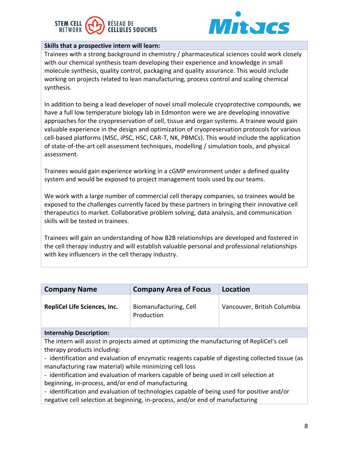



# **Skills that a prospective intern will learn:**

Trainees with a strong background in chemistry / pharmaceutical sciences could work closely with our chemical synthesis team developing their experience and knowledge in small molecule synthesis, quality control, packaging and quality assurance. This would include working on projects related to lean manufacturing, process control and scaling chemical synthesis.

In addition to being a lead developer of novel small molecule cryoprotective compounds, we have a full low temperature biology lab in Edmonton were we are developing innovative approaches for the cryopreservation of cell, tissue and organ systems. A trainee would gain valuable experience in the design and optimization of cryopreservation protocols for various cell-based platforms (MSC, iPSC, HSC, CAR-T, NK, PBMCs). This would include the application of state-of-the-art cell assessment techniques, modelling / simulation tools, and physical assessment.

Trainees would gain experience working in a cGMP environment under a defined quality system and would be exposed to project management tools used by our teams.

We work with a large number of commercial cell therapy companies, so trainees would be exposed to the challenges currently faced by these partners in bringing their innovative cell therapeutics to market. Collaborative problem solving, data analysis, and communication skills will be tested in trainees.

Trainees will gain an understanding of how B2B relationships are developed and fostered in the cell therapy industry and will establish valuable personal and professional relationships with key influencers in the cell therapy industry.

| <b>Company Name</b>                                                                             | <b>Company Area of Focus</b>         | Location                    |
|-------------------------------------------------------------------------------------------------|--------------------------------------|-----------------------------|
| <b>RepliCel Life Sciences, Inc.</b>                                                             | Biomanufacturing, Cell<br>Production | Vancouver, British Columbia |
| <b>Internship Description:</b>                                                                  |                                      |                             |
| The intern will assist in projects aimed at optimizing the manufacturing of RepliCel's cell     |                                      |                             |
| therapy products including:                                                                     |                                      |                             |
| - identification and evaluation of enzymatic reagents capable of digesting collected tissue (as |                                      |                             |

manufacturing raw material) while minimizing cell loss

- identification and evaluation of markers capable of being used in cell selection at beginning, in-process, and/or end of manufacturing

- identification and evaluation of technologies capable of being used for positive and/or negative cell selection at beginning, in-process, and/or end of manufacturing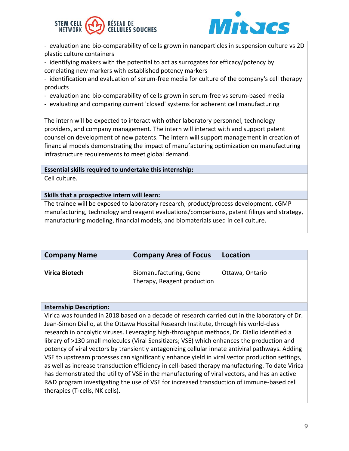



- evaluation and bio-comparability of cells grown in nanoparticles in suspension culture vs 2D plastic culture containers

- identifying makers with the potential to act as surrogates for efficacy/potency by correlating new markers with established potency markers

- identification and evaluation of serum-free media for culture of the company's cell therapy products

- evaluation and bio-comparability of cells grown in serum-free vs serum-based media
- evaluating and comparing current 'closed' systems for adherent cell manufacturing

The intern will be expected to interact with other laboratory personnel, technology providers, and company management. The intern will interact with and support patent counsel on development of new patents. The intern will support management in creation of financial models demonstrating the impact of manufacturing optimization on manufacturing infrastructure requirements to meet global demand.

# **Essential skills required to undertake this internship:**

Cell culture.

# **Skills that a prospective intern will learn:**

The trainee will be exposed to laboratory research, product/process development, cGMP manufacturing, technology and reagent evaluations/comparisons, patent filings and strategy, manufacturing modeling, financial models, and biomaterials used in cell culture.

| <b>Company Name</b> | <b>Company Area of Focus</b>                          | Location        |
|---------------------|-------------------------------------------------------|-----------------|
| Virica Biotech      | Biomanufacturing, Gene<br>Therapy, Reagent production | Ottawa, Ontario |

### **Internship Description:**

Virica was founded in 2018 based on a decade of research carried out in the laboratory of Dr. Jean-Simon Diallo, at the Ottawa Hospital Research Institute, through his world-class research in oncolytic viruses. Leveraging high-throughput methods, Dr. Diallo identified a library of >130 small molecules (Viral Sensitizers; VSE) which enhances the production and potency of viral vectors by transiently antagonizing cellular innate antiviral pathways. Adding VSE to upstream processes can significantly enhance yield in viral vector production settings, as well as increase transduction efficiency in cell-based therapy manufacturing. To date Virica has demonstrated the utility of VSE in the manufacturing of viral vectors, and has an active R&D program investigating the use of VSE for increased transduction of immune-based cell therapies (T-cells, NK cells).